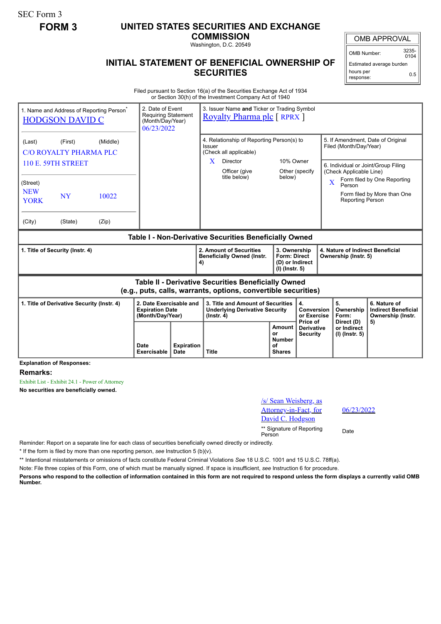SEC Form 3

## **FORM 3 UNITED STATES SECURITIES AND EXCHANGE**

**COMMISSION** Washington, D.C. 20549

OMB APPROVAL

OMB Number: 3235-  $0104$ 

Estimated average burden hours per response: 0.5

## **INITIAL STATEMENT OF BENEFICIAL OWNERSHIP OF SECURITIES**

Filed pursuant to Section 16(a) of the Securities Exchange Act of 1934 or Section 30(h) of the Investment Company Act of 1940

| 1. Name and Address of Reporting Person <sup>®</sup><br><b>HODGSON DAVID C</b> |          | 2. Date of Event<br>(Month/Day/Year)<br>06/23/2022                    | 3. Issuer Name and Ticker or Trading Symbol<br><b>Requiring Statement</b><br><b>Royalty Pharma plc</b> [ RPRX ] |                                                                                                                       |                                                                            |                                                                |                         |                                                             |                                                                       |  |
|--------------------------------------------------------------------------------|----------|-----------------------------------------------------------------------|-----------------------------------------------------------------------------------------------------------------|-----------------------------------------------------------------------------------------------------------------------|----------------------------------------------------------------------------|----------------------------------------------------------------|-------------------------|-------------------------------------------------------------|-----------------------------------------------------------------------|--|
| (Last)<br>(First)<br>C/O ROYALTY PHARMA PLC                                    | (Middle) |                                                                       |                                                                                                                 | 4. Relationship of Reporting Person(s) to<br>Issuer<br>(Check all applicable)                                         |                                                                            |                                                                |                         | 5. If Amendment, Date of Original<br>Filed (Month/Day/Year) |                                                                       |  |
| <b>110 E. 59TH STREET</b>                                                      |          |                                                                       | $\mathbf{X}$<br>Director<br>Officer (give<br>title below)                                                       | 10% Owner<br>Other (specify)<br>below)                                                                                |                                                                            | 6. Individual or Joint/Group Filing<br>(Check Applicable Line) |                         |                                                             |                                                                       |  |
| (Street)<br><b>NEW</b><br><b>NY</b><br><b>YORK</b>                             | 10022    |                                                                       |                                                                                                                 |                                                                                                                       |                                                                            |                                                                | $\overline{\mathbf{X}}$ | Person<br><b>Reporting Person</b>                           | Form filed by One Reporting<br>Form filed by More than One            |  |
| (City)<br>(State)                                                              | (Zip)    |                                                                       |                                                                                                                 |                                                                                                                       |                                                                            |                                                                |                         |                                                             |                                                                       |  |
| Table I - Non-Derivative Securities Beneficially Owned                         |          |                                                                       |                                                                                                                 |                                                                                                                       |                                                                            |                                                                |                         |                                                             |                                                                       |  |
|                                                                                |          |                                                                       |                                                                                                                 |                                                                                                                       |                                                                            |                                                                |                         |                                                             |                                                                       |  |
| 1. Title of Security (Instr. 4)                                                |          |                                                                       |                                                                                                                 | 2. Amount of Securities<br><b>Beneficially Owned (Instr.</b><br>4)                                                    | 3. Ownership<br><b>Form: Direct</b><br>(D) or Indirect<br>$(I)$ (lnstr. 5) |                                                                |                         | 4. Nature of Indirect Beneficial<br>Ownership (Instr. 5)    |                                                                       |  |
|                                                                                |          |                                                                       |                                                                                                                 | Table II - Derivative Securities Beneficially Owned<br>(e.g., puts, calls, warrants, options, convertible securities) |                                                                            |                                                                |                         |                                                             |                                                                       |  |
| 1. Title of Derivative Security (Instr. 4)                                     |          | 2. Date Exercisable and<br><b>Expiration Date</b><br>(Month/Day/Year) |                                                                                                                 | 3. Title and Amount of Securities<br><b>Underlying Derivative Security</b><br>$($ lnstr. 4 $)$                        |                                                                            | 4.<br>Conversion<br>or Exercise<br>Price of                    |                         | 5.<br>Ownership<br>Form:<br>Direct (D)                      | 6. Nature of<br><b>Indirect Beneficial</b><br>Ownership (Instr.<br>5) |  |

**Explanation of Responses:**

**Remarks:**

Exhibit List - Exhibit 24.1 - Power of Attorney

**No securities are beneficially owned.**

| /s/ Sean Weisberg, as<br>Attorney-in-Fact, for<br>David C. Hodgson | 06/2 |
|--------------------------------------------------------------------|------|
| ** Signature of Reporting<br>Person                                | Date |

06/23/2022

Reminder: Report on a separate line for each class of securities beneficially owned directly or indirectly.

\* If the form is filed by more than one reporting person, *see* Instruction 5 (b)(v).

\*\* Intentional misstatements or omissions of facts constitute Federal Criminal Violations *See* 18 U.S.C. 1001 and 15 U.S.C. 78ff(a).

Note: File three copies of this Form, one of which must be manually signed. If space is insufficient, *see* Instruction 6 for procedure.

**Persons who respond to the collection of information contained in this form are not required to respond unless the form displays a currently valid OMB Number.**